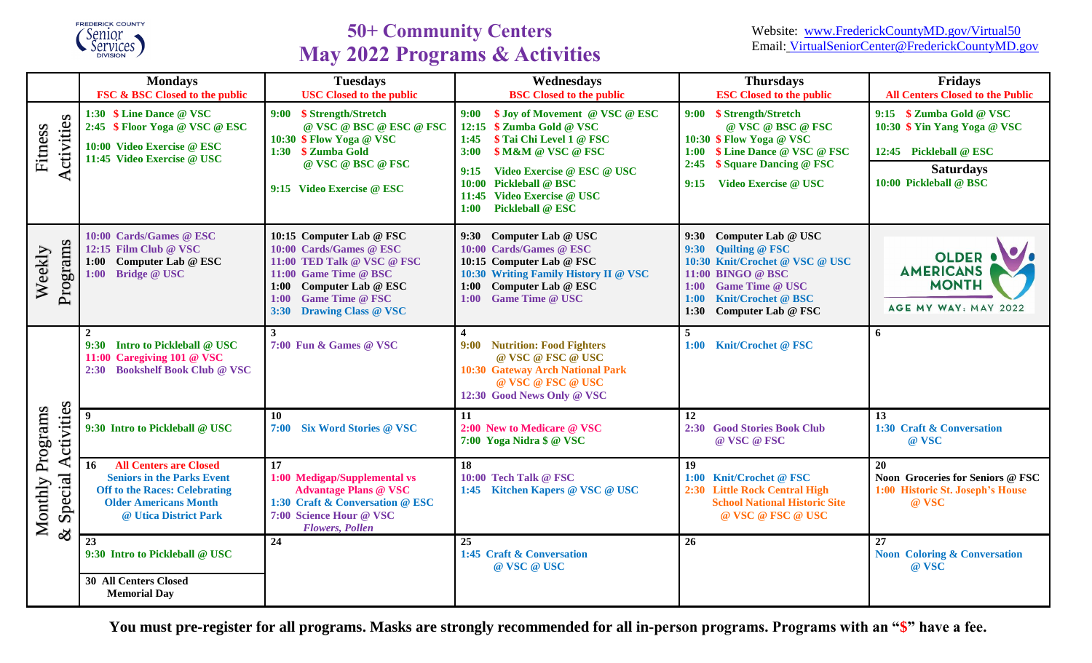

# **50+ Community Centers May 2022 Programs & Activities**

|                                                                                 | <b>Mondays</b><br><b>FSC &amp; BSC Closed to the public</b>                                                                                                               | <b>Tuesdays</b><br><b>USC Closed to the public</b>                                                                                                                                                               | Wednesdays<br><b>BSC</b> Closed to the public                                                                                                                                                                                                 | <b>Thursdays</b><br><b>ESC Closed to the public</b>                                                                                                                                                           | <b>Fridays</b><br><b>All Centers Closed to the Public</b>                                                                        |
|---------------------------------------------------------------------------------|---------------------------------------------------------------------------------------------------------------------------------------------------------------------------|------------------------------------------------------------------------------------------------------------------------------------------------------------------------------------------------------------------|-----------------------------------------------------------------------------------------------------------------------------------------------------------------------------------------------------------------------------------------------|---------------------------------------------------------------------------------------------------------------------------------------------------------------------------------------------------------------|----------------------------------------------------------------------------------------------------------------------------------|
| Activities<br>Fitness                                                           | 1:30 \$ Line Dance @ VSC<br>2:45 \$ Floor Yoga @ VSC @ ESC<br>10:00 Video Exercise @ ESC<br>11:45 Video Exercise @ USC                                                    | 9:00 \$ Strength/Stretch<br>@ VSC @ BSC @ ESC @ FSC<br>10:30 \$ Flow Yoga @ VSC<br>1:30 \$ Zumba Gold<br>@ VSC @ BSC @ FSC<br>9:15 Video Exercise @ ESC                                                          | \$ Joy of Movement @ VSC @ ESC<br>9:00<br>12:15 \$ Zumba Gold @ VSC<br>\$ Tai Chi Level 1 @ FSC<br>1:45<br><b>\$M&amp;M @ VSC @ FSC</b><br>3:00<br>Video Exercise @ ESC @ USC<br>9:15<br>10:00 Pickleball @ BSC<br>11:45 Video Exercise @ USC | 9:00 \$ Strength/Stretch<br>@ VSC @ BSC @ FSC<br>10:30 \$ Flow Yoga @ VSC<br>1:00 \$ Line Dance @ VSC @ FSC<br>\$ Square Dancing @ FSC<br>2:45<br>Video Exercise @ USC<br>9:15                                | 9:15 \$ Zumba Gold @ VSC<br>10:30 \$ Yin Yang Yoga @ VSC<br>12:45 Pickleball @ ESC<br><b>Saturdays</b><br>10:00 Pickleball @ BSC |
|                                                                                 |                                                                                                                                                                           |                                                                                                                                                                                                                  | Pickleball @ ESC<br>1:00                                                                                                                                                                                                                      |                                                                                                                                                                                                               |                                                                                                                                  |
| Programs<br>Weekly                                                              | 10:00 Cards/Games @ ESC<br>12:15 Film Club @ VSC<br>Computer Lab @ ESC<br>1:00<br>1:00<br><b>Bridge @ USC</b>                                                             | 10:15 Computer Lab @ FSC<br>10:00 Cards/Games @ ESC<br>11:00 TED Talk @ VSC @ FSC<br>11:00 Game Time @ BSC<br>1:00<br>Computer Lab @ ESC<br><b>Game Time @ FSC</b><br>1:00<br><b>Drawing Class @ VSC</b><br>3:30 | 9:30 Computer Lab @ USC<br>10:00 Cards/Games @ ESC<br>10:15 Computer Lab @ FSC<br>10:30 Writing Family History II @ VSC<br>1:00 Computer Lab @ ESC<br><b>Game Time @ USC</b><br>1:00                                                          | 9:30 Computer Lab @ USC<br><b>Quilting @ FSC</b><br>9:30<br>10:30 Knit/Crochet @ VSC @ USC<br>11:00 BINGO @ BSC<br><b>Game Time @ USC</b><br>1:00<br>Knit/Crochet @ BSC<br>1:00<br>1:30<br>Computer Lab @ FSC | <b>OLDER 4</b><br><b>AMERICANS</b><br><b>MONTH</b><br>AGE MY WAY: MAY 2022                                                       |
| ctivities<br>Programs<br>$\blacktriangleleft$<br>Special<br>Monthly<br>$\infty$ | $\overline{2}$<br>9:30<br>Intro to Pickleball @ USC<br>11:00 Caregiving 101 @ VSC<br><b>Bookshelf Book Club @ VSC</b><br>2:30                                             | $\overline{3}$<br>7:00 Fun & Games @ VSC                                                                                                                                                                         | 4<br>9:00 Nutrition: Food Fighters<br>@ VSC @ FSC @ USC<br>10:30 Gateway Arch National Park<br>@ VSC @ FSC @ USC<br>12:30 Good News Only @ VSC                                                                                                | 5<br>1:00 Knit/Crochet @ FSC                                                                                                                                                                                  | 6                                                                                                                                |
|                                                                                 | 9<br>9:30 Intro to Pickleball @ USC                                                                                                                                       | 10<br><b>Six Word Stories @ VSC</b><br>7:00                                                                                                                                                                      | 11<br>2:00 New to Medicare @ VSC<br>7:00 Yoga Nidra \$ @ VSC                                                                                                                                                                                  | 12<br>2:30 Good Stories Book Club<br>@ VSC @ FSC                                                                                                                                                              | 13<br>1:30 Craft & Conversation<br>@ VSC                                                                                         |
|                                                                                 | <b>All Centers are Closed</b><br>16<br><b>Seniors in the Parks Event</b><br><b>Off to the Races: Celebrating</b><br><b>Older Americans Month</b><br>@ Utica District Park | 17<br>1:00 Medigap/Supplemental vs<br><b>Advantage Plans @ VSC</b><br>1:30 Craft & Conversation @ ESC<br>7:00 Science Hour @ VSC<br><b>Flowers, Pollen</b>                                                       | 18<br>10:00 Tech Talk @ FSC<br>1:45 Kitchen Kapers @ VSC @ USC                                                                                                                                                                                | 19<br>1:00 Knit/Crochet @ FSC<br>2:30 Little Rock Central High<br><b>School National Historic Site</b><br>@ VSC @ FSC @ USC                                                                                   | 20<br>Noon Groceries for Seniors @ FSC<br>1:00 Historic St. Joseph's House<br>@ VSC                                              |
|                                                                                 | 23<br>9:30 Intro to Pickleball @ USC                                                                                                                                      | 24                                                                                                                                                                                                               | 25<br>1:45 Craft & Conversation<br>@ VSC @ USC                                                                                                                                                                                                | 26                                                                                                                                                                                                            | 27<br><b>Noon Coloring &amp; Conversation</b><br>@ VSC                                                                           |
|                                                                                 | <b>30 All Centers Closed</b><br><b>Memorial Day</b>                                                                                                                       |                                                                                                                                                                                                                  |                                                                                                                                                                                                                                               |                                                                                                                                                                                                               |                                                                                                                                  |

**You must pre-register for all programs. Masks are strongly recommended for all in-person programs. Programs with an "\$" have a fee.**